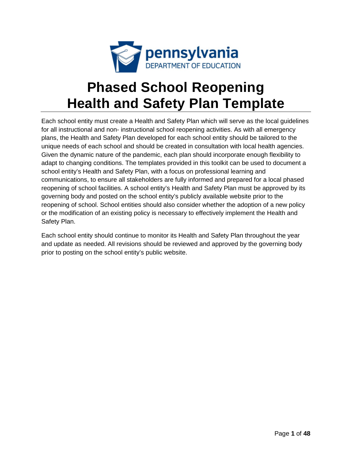

# **Phased School Reopening Health and Safety Plan Template**

Each school entity must create a Health and Safety Plan which will serve as the local guidelines for all instructional and non- instructional school reopening activities. As with all emergency plans, the Health and Safety Plan developed for each school entity should be tailored to the unique needs of each school and should be created in consultation with local health agencies. Given the dynamic nature of the pandemic, each plan should incorporate enough flexibility to adapt to changing conditions. The templates provided in this toolkit can be used to document a school entity's Health and Safety Plan, with a focus on professional learning and communications, to ensure all stakeholders are fully informed and prepared for a local phased reopening of school facilities. A school entity's Health and Safety Plan must be approved by its governing body and posted on the school entity's publicly available website prior to the reopening of school. School entities should also consider whether the adoption of a new policy or the modification of an existing policy is necessary to effectively implement the Health and Safety Plan.

Each school entity should continue to monitor its Health and Safety Plan throughout the year and update as needed. All revisions should be reviewed and approved by the governing body prior to posting on the school entity's public website.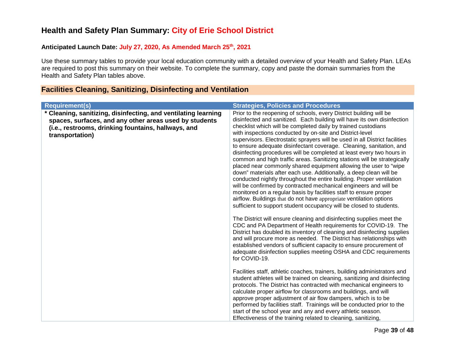## **Health and Safety Plan Summary: City of Erie School District**

## **Anticipated Launch Date: July 27, 2020, As Amended March 25th, 2021**

Use these summary tables to provide your local education community with a detailed overview of your Health and Safety Plan. LEAs are required to post this summary on their website. To complete the summary, copy and paste the domain summaries from the Health and Safety Plan tables above.

## **Facilities Cleaning, Sanitizing, Disinfecting and Ventilation**

**\* Cleaning, sanitizing, disinfecting, and ventilating learning spaces, surfaces, and any other areas used by students (i.e., restrooms, drinking fountains, hallways, and transportation)**

#### **Requirement(s) Strategies, Policies and Procedures**

Prior to the reopening of schools, every District building will be disinfected and sanitized. Each building will have its own disinfection checklist which will be completed daily by trained custodians with inspections conducted by on-site and District-level supervisors. Electrostatic sprayers will be used in all District facilities to ensure adequate disinfectant coverage. Cleaning, sanitation, and disinfecting procedures will be completed at least every two hours in common and high traffic areas. Sanitizing stations will be strategically placed near commonly shared equipment allowing the user to "wipe down" materials after each use. Additionally, a deep clean will be conducted nightly throughout the entire building. Proper ventilation will be confirmed by contracted mechanical engineers and will be monitored on a regular basis by facilities staff to ensure proper airflow. Buildings that do not have appropriate ventilation options sufficient to support student occupancy will be closed to students.

The District will ensure cleaning and disinfecting supplies meet the CDC and PA Department of Health requirements for COVID-19. The District has doubled its inventory of cleaning and disinfecting supplies and will procure more as needed. The District has relationships with established vendors of sufficient capacity to ensure procurement of adequate disinfection supplies meeting OSHA and CDC requirements for COVID-19.

Facilities staff, athletic coaches, trainers, building administrators and student athletes will be trained on cleaning, sanitizing and disinfecting protocols. The District has contracted with mechanical engineers to calculate proper airflow for classrooms and buildings, and will approve proper adjustment of air flow dampers, which is to be performed by facilities staff. Trainings will be conducted prior to the start of the school year and any and every athletic season. Effectiveness of the training related to cleaning, sanitizing,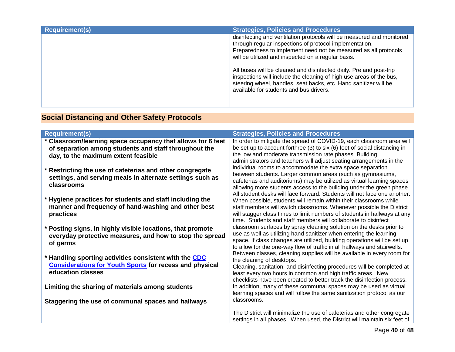| <b>Requirement(s)</b> | <b>Strategies, Policies and Procedures</b>                                                                                                                                                                                                                                                                                                                                                                                                                                                                            |
|-----------------------|-----------------------------------------------------------------------------------------------------------------------------------------------------------------------------------------------------------------------------------------------------------------------------------------------------------------------------------------------------------------------------------------------------------------------------------------------------------------------------------------------------------------------|
|                       | disinfecting and ventilation protocols will be measured and monitored<br>through regular inspections of protocol implementation.<br>Preparedness to implement need not be measured as all protocols<br>will be utilized and inspected on a regular basis.<br>All buses will be cleaned and disinfected daily. Pre and post-trip<br>inspections will include the cleaning of high use areas of the bus,<br>steering wheel, handles, seat backs, etc. Hand sanitizer will be<br>available for students and bus drivers. |

## **Social Distancing and Other Safety Protocols**

| <b>Requirement(s)</b>                                                                                                                                       | <b>Strategies, Policies and Procedures</b>                                                                                                                                                                                                                                                                                                             |
|-------------------------------------------------------------------------------------------------------------------------------------------------------------|--------------------------------------------------------------------------------------------------------------------------------------------------------------------------------------------------------------------------------------------------------------------------------------------------------------------------------------------------------|
| * Classroom/learning space occupancy that allows for 6 feet<br>of separation among students and staff throughout the<br>day, to the maximum extent feasible | In order to mitigate the spread of COVID-19, each classroom area will<br>be set up to account forthree (3) to six (6) feet of social distancing in<br>the low and moderate transmission rate phases. Building<br>administrators and teachers will adjust seating arrangements in the                                                                   |
| * Restricting the use of cafeterias and other congregate<br>settings, and serving meals in alternate settings such as<br>classrooms                         | individual rooms to accommodate the extra space separation<br>between students. Larger common areas (such as gymnasiums,<br>cafeterias and auditoriums) may be utilized as virtual learning spaces<br>allowing more students access to the building under the green phase.<br>All student desks will face forward. Students will not face one another. |
| * Hygiene practices for students and staff including the<br>manner and frequency of hand-washing and other best<br>practices                                | When possible, students will remain within their classrooms while<br>staff members will switch classrooms. Whenever possible the District<br>will stagger class times to limit numbers of students in hallways at any<br>time. Students and staff members will collaborate to disinfect                                                                |
| * Posting signs, in highly visible locations, that promote<br>everyday protective measures, and how to stop the spread<br>of germs                          | classroom surfaces by spray cleaning solution on the desks prior to<br>use as well as utilizing hand sanitizer when entering the learning<br>space. If class changes are utilized, building operations will be set up<br>to allow for the one-way flow of traffic in all hallways and stairwells.                                                      |
| * Handling sporting activities consistent with the CDC<br><b>Considerations for Youth Sports for recess and physical</b><br>education classes               | Between classes, cleaning supplies will be available in every room for<br>the cleaning of desktops.<br>Cleaning, sanitation, and disinfecting procedures will be completed at<br>least every two hours in common and high traffic areas. New<br>checklists have been created to better track the disinfection process.                                 |
| Limiting the sharing of materials among students                                                                                                            | In addition, many of these communal spaces may be used as virtual<br>learning spaces and will follow the same sanitization protocol as our                                                                                                                                                                                                             |
| Staggering the use of communal spaces and hallways                                                                                                          | classrooms.                                                                                                                                                                                                                                                                                                                                            |
|                                                                                                                                                             | The District will minimalize the use of cafeterias and other congregate<br>settings in all phases. When used, the District will maintain six feet of                                                                                                                                                                                                   |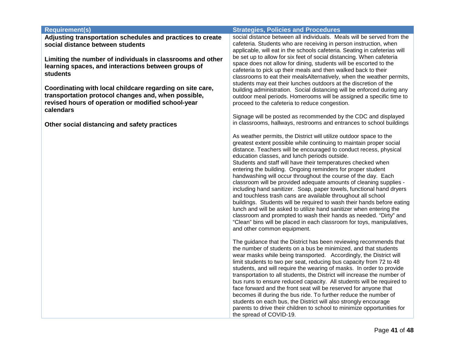| <b>Requirement(s)</b>                                                                                                                                                               | <b>Strategies, Policies and Procedures</b>                                                                                                                                                                                                                                                                                                                                                                                                                                                                                                                                                                                                                                                                                                                                                                                                                                                                                                                                                                   |
|-------------------------------------------------------------------------------------------------------------------------------------------------------------------------------------|--------------------------------------------------------------------------------------------------------------------------------------------------------------------------------------------------------------------------------------------------------------------------------------------------------------------------------------------------------------------------------------------------------------------------------------------------------------------------------------------------------------------------------------------------------------------------------------------------------------------------------------------------------------------------------------------------------------------------------------------------------------------------------------------------------------------------------------------------------------------------------------------------------------------------------------------------------------------------------------------------------------|
| Adjusting transportation schedules and practices to create<br>social distance between students                                                                                      | social distance between all individuals. Meals will be served from the<br>cafeteria. Students who are receiving in person instruction, when<br>applicable, will eat in the schools cafeteria. Seating in cafeterias will                                                                                                                                                                                                                                                                                                                                                                                                                                                                                                                                                                                                                                                                                                                                                                                     |
| Limiting the number of individuals in classrooms and other<br>learning spaces, and interactions between groups of<br><b>students</b>                                                | be set up to allow for six feet of social distancing. When cafeteria<br>space does not allow for dining, students will be escorted to the<br>cafeteria to pick up their meals and then walked back to their<br>classrooms to eat their mealsAlternatively, when the weather permits,<br>students may eat their lunches outdoors at the discretion of the                                                                                                                                                                                                                                                                                                                                                                                                                                                                                                                                                                                                                                                     |
| Coordinating with local childcare regarding on site care,<br>transportation protocol changes and, when possible,<br>revised hours of operation or modified school-year<br>calendars | building administration. Social distancing will be enforced during any<br>outdoor meal periods. Homerooms will be assigned a specific time to<br>proceed to the cafeteria to reduce congestion.                                                                                                                                                                                                                                                                                                                                                                                                                                                                                                                                                                                                                                                                                                                                                                                                              |
| Other social distancing and safety practices                                                                                                                                        | Signage will be posted as recommended by the CDC and displayed<br>in classrooms, hallways, restrooms and entrances to school buildings                                                                                                                                                                                                                                                                                                                                                                                                                                                                                                                                                                                                                                                                                                                                                                                                                                                                       |
|                                                                                                                                                                                     | As weather permits, the District will utilize outdoor space to the<br>greatest extent possible while continuing to maintain proper social<br>distance. Teachers will be encouraged to conduct recess, physical<br>education classes, and lunch periods outside.<br>Students and staff will have their temperatures checked when<br>entering the building. Ongoing reminders for proper student<br>handwashing will occur throughout the course of the day. Each<br>classroom will be provided adequate amounts of cleaning supplies -<br>including hand sanitizer. Soap, paper towels, functional hand dryers<br>and touchless trash cans are available throughout all school<br>buildings. Students will be required to wash their hands before eating<br>lunch and will be asked to utilize hand sanitizer when entering the<br>classroom and prompted to wash their hands as needed. "Dirty" and<br>"Clean" bins will be placed in each classroom for toys, manipulatives,<br>and other common equipment. |
|                                                                                                                                                                                     | The guidance that the District has been reviewing recommends that<br>the number of students on a bus be minimized, and that students<br>wear masks while being transported. Accordingly, the District will<br>limit students to two per seat, reducing bus capacity from 72 to 48<br>students, and will require the wearing of masks. In order to provide<br>transportation to all students, the District will increase the number of<br>bus runs to ensure reduced capacity. All students will be required to<br>face forward and the front seat will be reserved for anyone that<br>becomes ill during the bus ride. To further reduce the number of<br>students on each bus, the District will also strongly encourage<br>parents to drive their children to school to minimize opportunities for<br>the spread of COVID-19.                                                                                                                                                                              |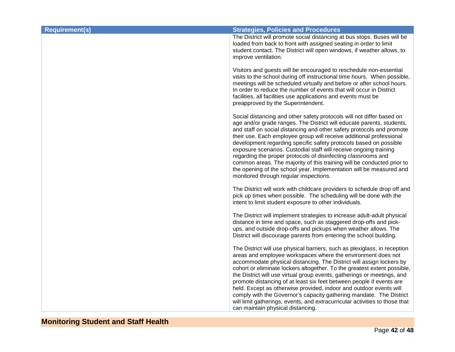| <b>Requirement(s)</b> | <b>Strategies, Policies and Procedures</b>                                                                                                                                                                                                                                                                                                                                                                                                                                                                                                                                                                                                                                                                        |
|-----------------------|-------------------------------------------------------------------------------------------------------------------------------------------------------------------------------------------------------------------------------------------------------------------------------------------------------------------------------------------------------------------------------------------------------------------------------------------------------------------------------------------------------------------------------------------------------------------------------------------------------------------------------------------------------------------------------------------------------------------|
|                       | The District will promote social distancing at bus stops. Buses will be<br>loaded from back to front with assigned seating in order to limit<br>student contact. The District will open windows, if weather allows, to<br>improve ventilation.                                                                                                                                                                                                                                                                                                                                                                                                                                                                    |
|                       | Visitors and guests will be encouraged to reschedule non-essential<br>visits to the school during off instructional time hours. When possible,<br>meetings will be scheduled virtually and before or after school hours.<br>In order to reduce the number of events that will occur in District<br>facilities, all facilities use applications and events must be<br>preapproved by the Superintendent.                                                                                                                                                                                                                                                                                                           |
|                       | Social distancing and other safety protocols will not differ based on<br>age and/or grade ranges. The District will educate parents, students,<br>and staff on social distancing and other safety protocols and promote<br>their use. Each employee group will receive additional professional<br>development regarding specific safety protocols based on possible<br>exposure scenarios. Custodial staff will receive ongoing training<br>regarding the proper protocols of disinfecting classrooms and<br>common areas. The majority of this training will be conducted prior to<br>the opening of the school year. Implementation will be measured and<br>monitored through regular inspections.              |
|                       | The District will work with childcare providers to schedule drop off and<br>pick up times when possible. The scheduling will be done with the<br>intent to limit student exposure to other individuals.                                                                                                                                                                                                                                                                                                                                                                                                                                                                                                           |
|                       | The District will implement strategies to increase adult-adult physical<br>distance in time and space, such as staggered drop-offs and pick-<br>ups, and outside drop-offs and pickups when weather allows. The<br>District will discourage parents from entering the school building.                                                                                                                                                                                                                                                                                                                                                                                                                            |
|                       | The District will use physical barriers, such as plexiglass, in reception<br>areas and employee workspaces where the environment does not<br>accommodate physical distancing. The District will assign lockers by<br>cohort or eliminate lockers altogether. To the greatest extent possible,<br>the District will use virtual group events, gatherings or meetings, and<br>promote distancing of at least six feet between people if events are<br>held. Except as otherwise provided, indoor and outdoor events will<br>comply with the Governor's capacity gathering mandate. The District<br>will limit gatherings, events, and extracurricular activities to those that<br>can maintain physical distancing. |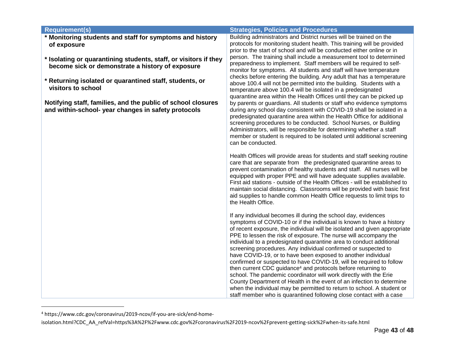| <b>Requirement(s)</b>                                                                                                | <b>Strategies, Policies and Procedures</b>                                                                                                                                                                                                                                                                                                                                                                                                                                                                                                                                                                                                                                                                                                                                                                                                                                                                                                         |
|----------------------------------------------------------------------------------------------------------------------|----------------------------------------------------------------------------------------------------------------------------------------------------------------------------------------------------------------------------------------------------------------------------------------------------------------------------------------------------------------------------------------------------------------------------------------------------------------------------------------------------------------------------------------------------------------------------------------------------------------------------------------------------------------------------------------------------------------------------------------------------------------------------------------------------------------------------------------------------------------------------------------------------------------------------------------------------|
| * Monitoring students and staff for symptoms and history<br>of exposure                                              | Building administrators and District nurses will be trained on the<br>protocols for monitoring student health. This training will be provided<br>prior to the start of school and will be conducted either online or in                                                                                                                                                                                                                                                                                                                                                                                                                                                                                                                                                                                                                                                                                                                            |
| * Isolating or quarantining students, staff, or visitors if they<br>become sick or demonstrate a history of exposure | person. The training shall include a measurement tool to determined<br>preparedness to implement. Staff members will be required to self-<br>monitor for symptoms. All students and staff will have temperature                                                                                                                                                                                                                                                                                                                                                                                                                                                                                                                                                                                                                                                                                                                                    |
| * Returning isolated or quarantined staff, students, or<br>visitors to school                                        | checks before entering the building. Any adult that has a temperature<br>above 100.4 will not be permitted into the building. Students with a<br>temperature above 100.4 will be isolated in a predesignated<br>quarantine area within the Health Offices until they can be picked up                                                                                                                                                                                                                                                                                                                                                                                                                                                                                                                                                                                                                                                              |
| Notifying staff, families, and the public of school closures<br>and within-school- year changes in safety protocols  | by parents or guardians. All students or staff who evidence symptoms<br>during any school day consistent with COVID-19 shall be isolated in a<br>predesignated quarantine area within the Health Office for additional<br>screening procedures to be conducted. School Nurses, or Building<br>Administrators, will be responsible for determining whether a staff<br>member or student is required to be isolated until additional screening<br>can be conducted.                                                                                                                                                                                                                                                                                                                                                                                                                                                                                  |
|                                                                                                                      | Health Offices will provide areas for students and staff seeking routine<br>care that are separate from the predesignated quarantine areas to<br>prevent contamination of healthy students and staff. All nurses will be<br>equipped with proper PPE and will have adequate supplies available.<br>First aid stations - outside of the Health Offices - will be established to<br>maintain social distancing. Classrooms will be provided with basic first<br>aid supplies to handle common Health Office requests to limit trips to<br>the Health Office.                                                                                                                                                                                                                                                                                                                                                                                         |
|                                                                                                                      | If any individual becomes ill during the school day, evidences<br>symptoms of COVID-10 or if the individual is known to have a history<br>of recent exposure, the individual will be isolated and given appropriate<br>PPE to lessen the risk of exposure. The nurse will accompany the<br>individual to a predesignated quarantine area to conduct additional<br>screening procedures. Any individual confirmed or suspected to<br>have COVID-19, or to have been exposed to another individual<br>confirmed or suspected to have COVID-19, will be required to follow<br>then current CDC guidance <sup>4</sup> and protocols before returning to<br>school. The pandemic coordinator will work directly with the Erie<br>County Department of Health in the event of an infection to determine<br>when the individual may be permitted to return to school. A student or<br>staff member who is quarantined following close contact with a case |

<sup>4</sup> https://www.cdc.gov/coronavirus/2019-ncov/if-you-are-sick/end-home-

isolation.html?CDC\_AA\_refVal=https%3A%2F%2Fwww.cdc.gov%2Fcoronavirus%2F2019-ncov%2Fprevent-getting-sick%2Fwhen-its-safe.html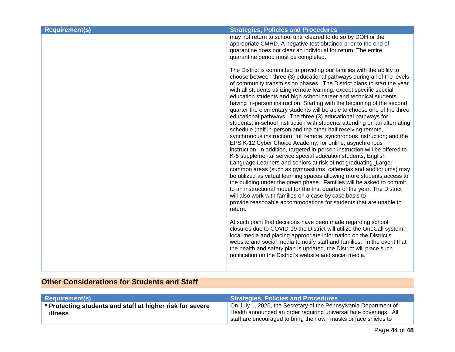| <b>Requirement(s)</b> | <b>Strategies, Policies and Procedures</b>                                                                                                                                                                                                                                                                                                                                                                                                                                                                                                                                                                                                                                                                                                                                                                                                                                                                                                                                                                                                                                                                                                                                                                                                                                                                                                                                                                                                                                                                                                         |
|-----------------------|----------------------------------------------------------------------------------------------------------------------------------------------------------------------------------------------------------------------------------------------------------------------------------------------------------------------------------------------------------------------------------------------------------------------------------------------------------------------------------------------------------------------------------------------------------------------------------------------------------------------------------------------------------------------------------------------------------------------------------------------------------------------------------------------------------------------------------------------------------------------------------------------------------------------------------------------------------------------------------------------------------------------------------------------------------------------------------------------------------------------------------------------------------------------------------------------------------------------------------------------------------------------------------------------------------------------------------------------------------------------------------------------------------------------------------------------------------------------------------------------------------------------------------------------------|
|                       | may not return to school until cleared to do so by DOH or the<br>appropriate CMHD. A negative test obtained prior to the end of<br>quarantine does not clear an individual for return. The entire<br>quarantine period must be completed.                                                                                                                                                                                                                                                                                                                                                                                                                                                                                                                                                                                                                                                                                                                                                                                                                                                                                                                                                                                                                                                                                                                                                                                                                                                                                                          |
|                       | The District is committed to providing our families with the ability to<br>choose between three (3) educational pathways during all of the levels<br>of community transmission phases The District plans to start the year<br>with all students utilizing remote learning, except specific special<br>education students and high school career and technical students<br>having in-person instruction. Starting with the beginning of the second<br>quarter the elementary students will be able to choose one of the three<br>educational pathways. The three (3) educational pathways for<br>students: in-school instruction with students attending on an alternating<br>schedule (half in-person and the other half receiving remote,<br>synchronous instruction); full remote, synchronous instruction; and the<br>EPS K-12 Cyber Choice Academy, for online, asynchronous<br>instruction. In addition, targeted in-person instruction will be offered to<br>K-5 supplemental service special education students, English<br>Language Learners and seniors at risk of not graduating. Larger<br>common areas (such as gymnasiums, cafeterias and auditoriums) may<br>be utilized as virtual learning spaces allowing more students access to<br>the building under the green phase. Families will be asked to commit<br>to an instructional model for the first quarter of the year. The District<br>will also work with families on a case by case basis to<br>provide reasonable accommodations for students that are unable to<br>return. |
|                       | At such point that decisions have been made regarding school<br>closures due to COVID-19 the District will utilize the OneCall system,<br>local media and placing appropriate information on the District's<br>website and social media to notify staff and families. In the event that<br>the health and safety plan is updated, the District will place such<br>notification on the District's website and social media.                                                                                                                                                                                                                                                                                                                                                                                                                                                                                                                                                                                                                                                                                                                                                                                                                                                                                                                                                                                                                                                                                                                         |
|                       |                                                                                                                                                                                                                                                                                                                                                                                                                                                                                                                                                                                                                                                                                                                                                                                                                                                                                                                                                                                                                                                                                                                                                                                                                                                                                                                                                                                                                                                                                                                                                    |

## **Other Considerations for Students and Staff**

| <b>Requirement(s)</b>                                                       | <b>Strategies, Policies and Procedures</b>                                                                                                                                                                |
|-----------------------------------------------------------------------------|-----------------------------------------------------------------------------------------------------------------------------------------------------------------------------------------------------------|
| * Protecting students and staff at higher risk for severe<br><b>illness</b> | On July 1, 2020, the Secretary of the Pennsylvania Department of<br>Health announced an order requiring universal face coverings. All<br>staff are encouraged to bring their own masks or face shields to |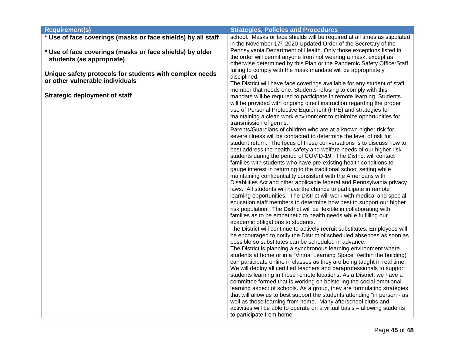| <b>Requirement(s)</b>                                        | <b>Strategies, Policies and Procedures</b>                                                                                                           |
|--------------------------------------------------------------|------------------------------------------------------------------------------------------------------------------------------------------------------|
| * Use of face coverings (masks or face shields) by all staff | school. Masks or face shields will be required at all times as stipulated                                                                            |
|                                                              | in the November 17th 2020 Updated Order of the Secretary of the                                                                                      |
| * Use of face coverings (masks or face shields) by older     | Pennsylvania Department of Health. Only those exceptions listed in                                                                                   |
| students (as appropriate)                                    | the order will permit anyone from not wearing a mask, except as<br>otherwise determined by this Plan or the Pandemic Safety OfficerStaff             |
|                                                              | failing to comply with the mask mandate will be appropriately                                                                                        |
| Unique safety protocols for students with complex needs      | disciplined.                                                                                                                                         |
| or other vulnerable individuals                              | The District will have face coverings available for any student of staff                                                                             |
|                                                              | member that needs one. Students refusing to comply with this                                                                                         |
| <b>Strategic deployment of staff</b>                         | mandate will be required to participate in remote learning. Students                                                                                 |
|                                                              | will be provided with ongoing direct instruction regarding the proper                                                                                |
|                                                              | use of Personal Protective Equipment (PPE) and strategies for                                                                                        |
|                                                              | maintaining a clean work environment to minimize opportunities for                                                                                   |
|                                                              | transmission of germs.<br>Parents/Guardians of children who are at a known higher risk for                                                           |
|                                                              | severe illness will be contacted to determine the level of risk for                                                                                  |
|                                                              | student return. The focus of these conversations is to discuss how to                                                                                |
|                                                              | best address the health, safety and welfare needs of our higher risk                                                                                 |
|                                                              | students during the period of COVID-19. The District will contact                                                                                    |
|                                                              | families with students who have pre-existing health conditions to                                                                                    |
|                                                              | gauge interest in returning to the traditional school setting while                                                                                  |
|                                                              | maintaining confidentiality consistent with the Americans with<br>Disabilities Act and other applicable federal and Pennsylvania privacy             |
|                                                              | laws. All students will have the chance to participate in remote                                                                                     |
|                                                              | learning opportunities. The District will work with medical and special                                                                              |
|                                                              | education staff members to determine how best to support our higher                                                                                  |
|                                                              | risk population. The District will be flexible in collaborating with                                                                                 |
|                                                              | families as to be empathetic to health needs while fulfilling our                                                                                    |
|                                                              | academic obligations to students.                                                                                                                    |
|                                                              | The District will continue to actively recruit substitutes. Employees will<br>be encouraged to notify the District of scheduled absences as soon as  |
|                                                              | possible so substitutes can be scheduled in advance.                                                                                                 |
|                                                              | The District is planning a synchronous learning environment where                                                                                    |
|                                                              | students at home or in a "Virtual Learning Space" (within the building)                                                                              |
|                                                              | can participate online in classes as they are being taught in real time.                                                                             |
|                                                              | We will deploy all certified teachers and paraprofessionals to support                                                                               |
|                                                              | students learning in those remote locations. As a District, we have a                                                                                |
|                                                              | committee formed that is working on bolstering the social emotional                                                                                  |
|                                                              | learning aspect of schools. As a group, they are formulating strategies<br>that will allow us to best support the students attending "in person"- as |
|                                                              | well as those learning from home. Many afterschool clubs and                                                                                         |
|                                                              | activities will be able to operate on a virtual basis - allowing students                                                                            |
|                                                              | to participate from home.                                                                                                                            |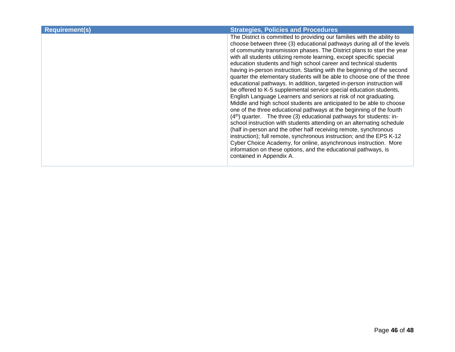| <b>Requirement(s)</b> | <b>Strategies, Policies and Procedures</b>                                                                                                                                                                                                                                                                                                                                                                                                                                                                                                                                                                                                                                                                                                                                                                                                                                                                                                                                                                                                                                                                                                                                                                                                                                                                                                                        |
|-----------------------|-------------------------------------------------------------------------------------------------------------------------------------------------------------------------------------------------------------------------------------------------------------------------------------------------------------------------------------------------------------------------------------------------------------------------------------------------------------------------------------------------------------------------------------------------------------------------------------------------------------------------------------------------------------------------------------------------------------------------------------------------------------------------------------------------------------------------------------------------------------------------------------------------------------------------------------------------------------------------------------------------------------------------------------------------------------------------------------------------------------------------------------------------------------------------------------------------------------------------------------------------------------------------------------------------------------------------------------------------------------------|
|                       | The District is committed to providing our families with the ability to<br>choose between three (3) educational pathways during all of the levels<br>of community transmission phases. The District plans to start the year<br>with all students utilizing remote learning, except specific special<br>education students and high school career and technical students<br>having in-person instruction. Starting with the beginning of the second<br>quarter the elementary students will be able to choose one of the three<br>educational pathways. In addition, targeted in-person instruction will<br>be offered to K-5 supplemental service special education students,<br>English Language Learners and seniors at risk of not graduating.<br>Middle and high school students are anticipated to be able to choose<br>one of the three educational pathways at the beginning of the fourth<br>$(4th)$ quarter. The three (3) educational pathways for students: in-<br>school instruction with students attending on an alternating schedule<br>(half in-person and the other half receiving remote, synchronous<br>instruction); full remote, synchronous instruction; and the EPS K-12<br>Cyber Choice Academy, for online, asynchronous instruction. More<br>information on these options, and the educational pathways, is<br>contained in Appendix A. |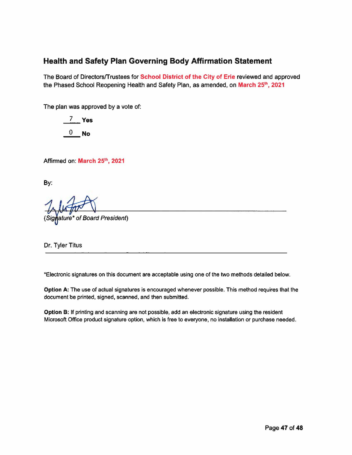## **Health and Safety Plan Governing Body Affirmation Statement**

The Board of Directors/Trustees for School District of the City of Erie reviewed and approved the Phased School Reopening Health and Safety Plan, as amended, on March 25<sup>th</sup>, 2021

The plan was approved by a vote of:

7 Yes  $0$  No

Affirmed on: March 25th, 2021

By:

(Signature\* of Board President)

Dr. Tyler Titus

\*Electronic signatures on this document are acceptable using one of the two methods detailed below.

Option A: The use of actual signatures is encouraged whenever possible. This method requires that the document be printed, signed, scanned, and then submitted.

Option B: If printing and scanning are not possible, add an electronic signature using the resident Microsoft Office product signature option, which is free to everyone, no installation or purchase needed.